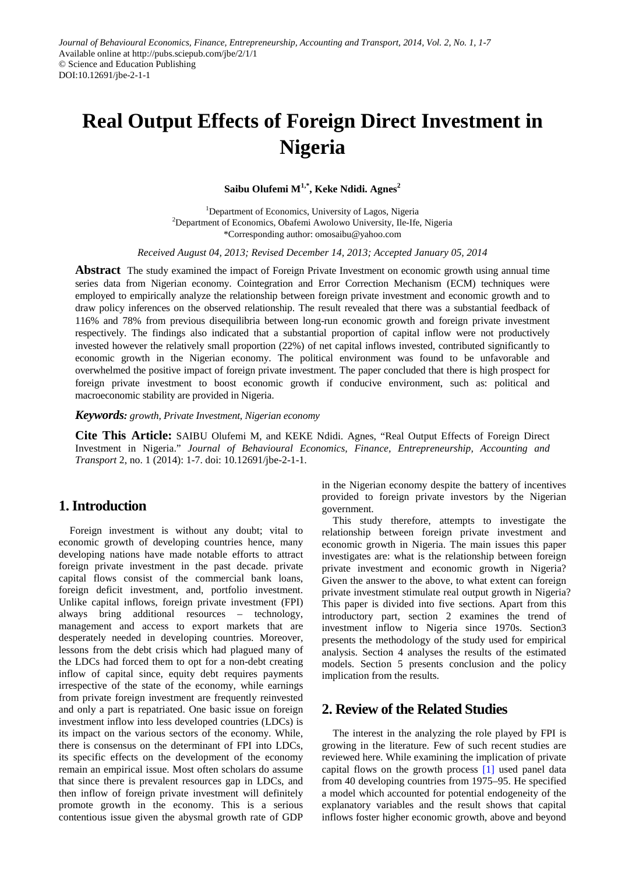# **Real Output Effects of Foreign Direct Investment in Nigeria**

**Saibu Olufemi**  $M^{1,*}$ , **Keke Ndidi. Agnes**<sup>2</sup>

<sup>1</sup>Department of Economics, University of Lagos, Nigeria <sup>2</sup>Department of Economics, Obafemi Awolowo University, Ile-Ife, Nigeria \*Corresponding author: omosaibu@yahoo.com

*Received August 04, 2013; Revised December 14, 2013; Accepted January 05, 2014*

**Abstract** The study examined the impact of Foreign Private Investment on economic growth using annual time series data from Nigerian economy. Cointegration and Error Correction Mechanism (ECM) techniques were employed to empirically analyze the relationship between foreign private investment and economic growth and to draw policy inferences on the observed relationship. The result revealed that there was a substantial feedback of 116% and 78% from previous disequilibria between long-run economic growth and foreign private investment respectively. The findings also indicated that a substantial proportion of capital inflow were not productively invested however the relatively small proportion (22%) of net capital inflows invested, contributed significantly to economic growth in the Nigerian economy. The political environment was found to be unfavorable and overwhelmed the positive impact of foreign private investment. The paper concluded that there is high prospect for foreign private investment to boost economic growth if conducive environment, such as: political and macroeconomic stability are provided in Nigeria.

*Keywords: growth, Private Investment, Nigerian economy*

**Cite This Article:** SAIBU Olufemi M, and KEKE Ndidi. Agnes, "Real Output Effects of Foreign Direct Investment in Nigeria." *Journal of Behavioural Economics, Finance, Entrepreneurship, Accounting and Transport* 2, no. 1 (2014): 1-7. doi: 10.12691/jbe-2-1-1.

# **1. Introduction**

Foreign investment is without any doubt; vital to economic growth of developing countries hence, many developing nations have made notable efforts to attract foreign private investment in the past decade. private capital flows consist of the commercial bank loans, foreign deficit investment, and, portfolio investment. Unlike capital inflows, foreign private investment (FPI) always bring additional resources – technology, management and access to export markets that are desperately needed in developing countries. Moreover, lessons from the debt crisis which had plagued many of the LDCs had forced them to opt for a non-debt creating inflow of capital since, equity debt requires payments irrespective of the state of the economy, while earnings from private foreign investment are frequently reinvested and only a part is repatriated. One basic issue on foreign investment inflow into less developed countries (LDCs) is its impact on the various sectors of the economy. While, there is consensus on the determinant of FPI into LDCs, its specific effects on the development of the economy remain an empirical issue. Most often scholars do assume that since there is prevalent resources gap in LDCs, and then inflow of foreign private investment will definitely promote growth in the economy. This is a serious contentious issue given the abysmal growth rate of GDP

in the Nigerian economy despite the battery of incentives provided to foreign private investors by the Nigerian government.

This study therefore, attempts to investigate the relationship between foreign private investment and economic growth in Nigeria. The main issues this paper investigates are: what is the relationship between foreign private investment and economic growth in Nigeria? Given the answer to the above, to what extent can foreign private investment stimulate real output growth in Nigeria? This paper is divided into five sections. Apart from this introductory part, section 2 examines the trend of investment inflow to Nigeria since 1970s. Section3 presents the methodology of the study used for empirical analysis. Section 4 analyses the results of the estimated models. Section 5 presents conclusion and the policy implication from the results.

# **2. Review of the Related Studies**

The interest in the analyzing the role played by FPI is growing in the literature. Few of such recent studies are reviewed here. While examining the implication of private capital flows on the growth process [\[1\]](#page-6-0) used panel data from 40 developing countries from 1975–95. He specified a model which accounted for potential endogeneity of the explanatory variables and the result shows that capital inflows foster higher economic growth, above and beyond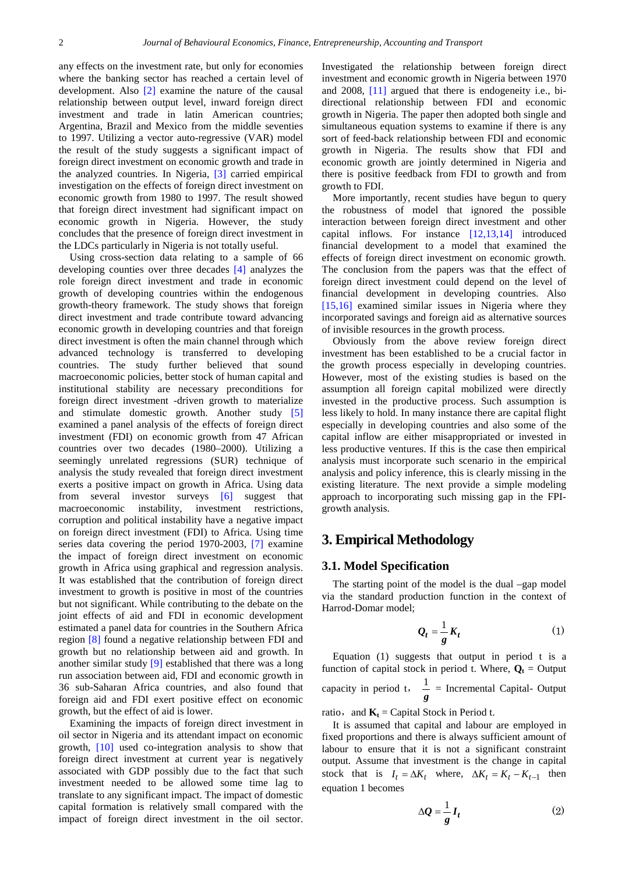any effects on the investment rate, but only for economies where the banking sector has reached a certain level of development. Also [\[2\]](#page-6-1) examine the nature of the causal relationship between output level, inward foreign direct investment and trade in latin American countries; Argentina, Brazil and Mexico from the middle seventies to 1997. Utilizing a vector auto-regressive (VAR) model the result of the study suggests a significant impact of foreign direct investment on economic growth and trade in the analyzed countries. In Nigeria, [\[3\]](#page-6-2) carried empirical investigation on the effects of foreign direct investment on economic growth from 1980 to 1997. The result showed that foreign direct investment had significant impact on economic growth in Nigeria. However, the study concludes that the presence of foreign direct investment in the LDCs particularly in Nigeria is not totally useful.

Using cross-section data relating to a sample of 66 developing counties over three decades [\[4\]](#page-6-3) analyzes the role foreign direct investment and trade in economic growth of developing countries within the endogenous growth-theory framework. The study shows that foreign direct investment and trade contribute toward advancing economic growth in developing countries and that foreign direct investment is often the main channel through which advanced technology is transferred to developing countries. The study further believed that sound macroeconomic policies, better stock of human capital and institutional stability are necessary preconditions for foreign direct investment -driven growth to materialize and stimulate domestic growth. Another study [\[5\]](#page-6-4) examined a panel analysis of the effects of foreign direct investment (FDI) on economic growth from 47 African countries over two decades (1980–2000). Utilizing a seemingly unrelated regressions (SUR) technique of analysis the study revealed that foreign direct investment exerts a positive impact on growth in Africa. Using data from several investor surveys [\[6\]](#page-6-5) suggest that macroeconomic instability, investment restrictions, corruption and political instability have a negative impact on foreign direct investment (FDI) to Africa. Using time series data covering the period 1970-2003, [\[7\]](#page-6-6) examine the impact of foreign direct investment on economic growth in Africa using graphical and regression analysis. It was established that the contribution of foreign direct investment to growth is positive in most of the countries but not significant. While contributing to the debate on the joint effects of aid and FDI in economic development estimated a panel data for countries in the Southern Africa region [\[8\]](#page-6-7) found a negative relationship between FDI and growth but no relationship between aid and growth. In another similar study [\[9\]](#page-6-8) established that there was a long run association between aid, FDI and economic growth in 36 sub-Saharan Africa countries, and also found that foreign aid and FDI exert positive effect on economic growth, but the effect of aid is lower.

Examining the impacts of foreign direct investment in oil sector in Nigeria and its attendant impact on economic growth, [\[10\]](#page-6-9) used co-integration analysis to show that foreign direct investment at current year is negatively associated with GDP possibly due to the fact that such investment needed to be allowed some time lag to translate to any significant impact. The impact of domestic capital formation is relatively small compared with the impact of foreign direct investment in the oil sector.

Investigated the relationship between foreign direct investment and economic growth in Nigeria between 1970 and 2008, [\[11\]](#page-6-10) argued that there is endogeneity i.e., bidirectional relationship between FDI and economic growth in Nigeria. The paper then adopted both single and simultaneous equation systems to examine if there is any sort of feed-back relationship between FDI and economic growth in Nigeria. The results show that FDI and economic growth are jointly determined in Nigeria and there is positive feedback from FDI to growth and from growth to FDI.

More importantly, recent studies have begun to query the robustness of model that ignored the possible interaction between foreign direct investment and other capital inflows. For instance [\[12,13,14\]](#page-6-11) introduced financial development to a model that examined the effects of foreign direct investment on economic growth. The conclusion from the papers was that the effect of foreign direct investment could depend on the level of financial development in developing countries. Also [\[15,16\]](#page-6-12) examined similar issues in Nigeria where they incorporated savings and foreign aid as alternative sources of invisible resources in the growth process.

Obviously from the above review foreign direct investment has been established to be a crucial factor in the growth process especially in developing countries. However, most of the existing studies is based on the assumption all foreign capital mobilized were directly invested in the productive process. Such assumption is less likely to hold. In many instance there are capital flight especially in developing countries and also some of the capital inflow are either misappropriated or invested in less productive ventures. If this is the case then empirical analysis must incorporate such scenario in the empirical analysis and policy inference, this is clearly missing in the existing literature. The next provide a simple modeling approach to incorporating such missing gap in the FPIgrowth analysis.

## **3. Empirical Methodology**

#### **3.1. Model Specification**

The starting point of the model is the dual –gap model via the standard production function in the context of Harrod-Domar model;

$$
Q_t = \frac{1}{g} K_t \tag{1}
$$

Equation (1) suggests that output in period t is a function of capital stock in period t. Where,  $Q_t$  = Output capacity in period t,  $\frac{1}{g}$  = Incremental Capital-Output

ratio, and  $\mathbf{K}_t$  = Capital Stock in Period t.

It is assumed that capital and labour are employed in fixed proportions and there is always sufficient amount of labour to ensure that it is not a significant constraint output. Assume that investment is the change in capital stock that is  $I_t = \Delta K_t$  where,  $\Delta K_t = K_t - K_{t-1}$  then equation 1 becomes

$$
\Delta \mathcal{Q} = \frac{1}{g} I_t \tag{2}
$$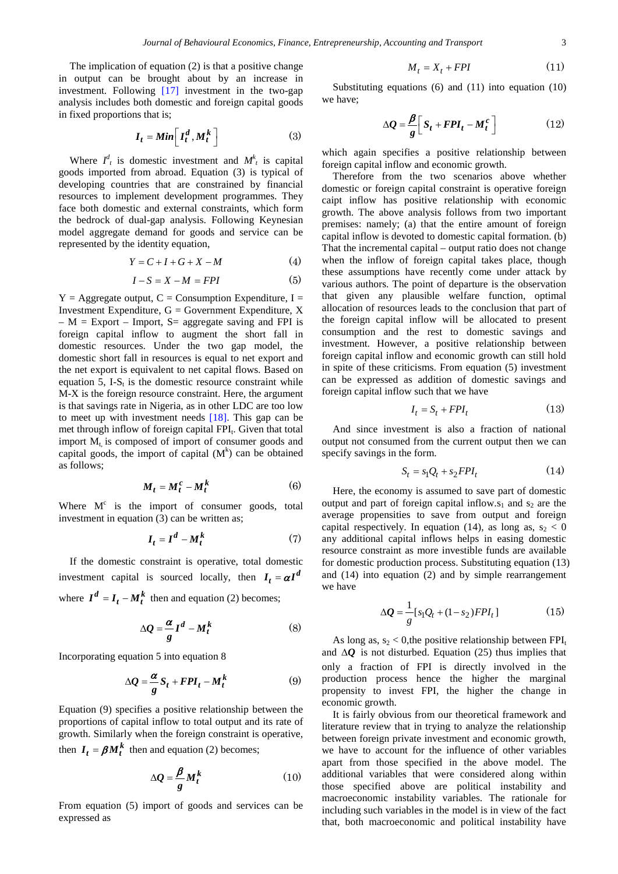The implication of equation (2) is that a positive change in output can be brought about by an increase in investment. Following [\[17\]](#page-6-13) investment in the two-gap analysis includes both domestic and foreign capital goods in fixed proportions that is;

$$
I_t = Min \left[ I_t^d, M_t^k \right] \tag{3}
$$

Where  $I_t^d$  is domestic investment and  $M_t^k$  is capital goods imported from abroad. Equation (3) is typical of developing countries that are constrained by financial resources to implement development programmes. They face both domestic and external constraints, which form the bedrock of dual-gap analysis. Following Keynesian model aggregate demand for goods and service can be represented by the identity equation,

$$
Y = C + I + G + X - M \tag{4}
$$

$$
I - S = X - M = FPI \tag{5}
$$

 $Y = \text{Aggregate output}, C = \text{Consumption Expenditure}, I =$ Investment Expenditure,  $G = G$ overnment Expenditure, X  $- M$  = Export – Import, S = aggregate saving and FPI is foreign capital inflow to augment the short fall in domestic resources. Under the two gap model, the domestic short fall in resources is equal to net export and the net export is equivalent to net capital flows. Based on equation 5, I-S $_{t}$  is the domestic resource constraint while M-X is the foreign resource constraint. Here, the argument is that savings rate in Nigeria, as in other LDC are too low to meet up with investment needs [\[18\].](#page-6-14) This gap can be met through inflow of foreign capital FPI<sub>t</sub>. Given that total import  $M_t$  is composed of import of consumer goods and capital goods, the import of capital  $(M<sup>k</sup>)$  can be obtained as follows;

$$
M_t = M_t^c - M_t^k \tag{6}
$$

Where  $M<sup>c</sup>$  is the import of consumer goods, total investment in equation (3) can be written as:

$$
I_t = I^d - M_t^k \tag{7}
$$

If the domestic constraint is operative, total domestic investment capital is sourced locally, then  $I_t = \alpha I^d$ 

where  $I^d = I_t - M_t^k$  then and equation (2) becomes;

$$
\Delta Q = \frac{\alpha}{g} I^d - M_t^k \tag{8}
$$

Incorporating equation 5 into equation 8

$$
\Delta Q = \frac{\alpha}{g} S_t + FPI_t - M_t^k \tag{9}
$$

Equation (9) specifies a positive relationship between the proportions of capital inflow to total output and its rate of growth. Similarly when the foreign constraint is operative, then  $I_t = \beta M_t^k$  then and equation (2) becomes;

$$
\Delta Q = \frac{\beta}{g} M_t^k \tag{10}
$$

From equation (5) import of goods and services can be expressed as

$$
M_t = X_t + FPI \tag{11}
$$

Substituting equations (6) and (11) into equation (10) we have;

$$
\Delta Q = \frac{\beta}{g} \bigg[ S_t + FPI_t - M_t^c \bigg] \tag{12}
$$

which again specifies a positive relationship between foreign capital inflow and economic growth.

Therefore from the two scenarios above whether domestic or foreign capital constraint is operative foreign caipt inflow has positive relationship with economic growth. The above analysis follows from two important premises: namely; (a) that the entire amount of foreign capital inflow is devoted to domestic capital formation. (b) That the incremental capital – output ratio does not change when the inflow of foreign capital takes place, though these assumptions have recently come under attack by various authors. The point of departure is the observation that given any plausible welfare function, optimal allocation of resources leads to the conclusion that part of the foreign capital inflow will be allocated to present consumption and the rest to domestic savings and investment. However, a positive relationship between foreign capital inflow and economic growth can still hold in spite of these criticisms. From equation (5) investment can be expressed as addition of domestic savings and foreign capital inflow such that we have

$$
I_t = S_t + FPI_t \tag{13}
$$

And since investment is also a fraction of national output not consumed from the current output then we can specify savings in the form.

$$
S_t = s_1 Q_t + s_2 FPI_t \tag{14}
$$

Here, the economy is assumed to save part of domestic output and part of foreign capital inflow.s<sub>1</sub> and s<sub>2</sub> are the average propensities to save from output and foreign capital respectively. In equation (14), as long as,  $s_2 < 0$ any additional capital inflows helps in easing domestic resource constraint as more investible funds are available for domestic production process. Substituting equation (13) and (14) into equation (2) and by simple rearrangement we have

$$
\Delta Q = \frac{1}{g} [s_1 Q_t + (1 - s_2) F P I_t]
$$
 (15)

As long as,  $s_2 < 0$ , the positive relationship between FPI<sub>t</sub> and ∆*Q* is not disturbed. Equation (25) thus implies that only a fraction of FPI is directly involved in the production process hence the higher the marginal propensity to invest FPI, the higher the change in economic growth.

It is fairly obvious from our theoretical framework and literature review that in trying to analyze the relationship between foreign private investment and economic growth, we have to account for the influence of other variables apart from those specified in the above model. The additional variables that were considered along within those specified above are political instability and macroeconomic instability variables. The rationale for including such variables in the model is in view of the fact that, both macroeconomic and political instability have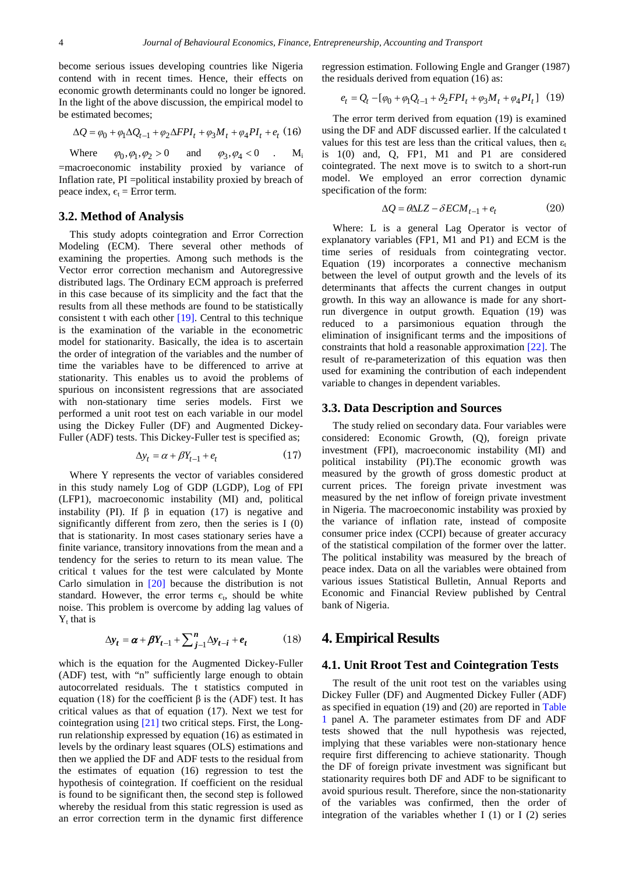become serious issues developing countries like Nigeria contend with in recent times. Hence, their effects on economic growth determinants could no longer be ignored. In the light of the above discussion, the empirical model to be estimated becomes;

$$
\Delta Q = \varphi_0 + \varphi_1 \Delta Q_{t-1} + \varphi_2 \Delta FPI_t + \varphi_3 M_t + \varphi_4 PI_t + e_t (16)
$$

Where  $\varphi_0, \varphi_1, \varphi_2 > 0$  and  $\varphi_3, \varphi_4 < 0$  . M<sub>i</sub> =macroeconomic instability proxied by variance of Inflation rate, PI =political instability proxied by breach of peace index,  $\epsilon_t$  = Error term.

#### **3.2. Method of Analysis**

This study adopts cointegration and Error Correction Modeling (ECM). There several other methods of examining the properties. Among such methods is the Vector error correction mechanism and Autoregressive distributed lags. The Ordinary ECM approach is preferred in this case because of its simplicity and the fact that the results from all these methods are found to be statistically consistent t with each other [\[19\].](#page-6-15) Central to this technique is the examination of the variable in the econometric model for stationarity. Basically, the idea is to ascertain the order of integration of the variables and the number of time the variables have to be differenced to arrive at stationarity. This enables us to avoid the problems of spurious on inconsistent regressions that are associated with non-stationary time series models. First we performed a unit root test on each variable in our model using the Dickey Fuller (DF) and Augmented Dickey-Fuller (ADF) tests. This Dickey-Fuller test is specified as;

$$
\Delta y_t = \alpha + \beta Y_{t-1} + e_t \tag{17}
$$

Where Y represents the vector of variables considered in this study namely Log of GDP (LGDP), Log of FPI (LFP1), macroeconomic instability (MI) and, political instability (PI). If  $\beta$  in equation (17) is negative and significantly different from zero, then the series is I (0) that is stationarity. In most cases stationary series have a finite variance, transitory innovations from the mean and a tendency for the series to return to its mean value. The critical t values for the test were calculated by Monte Carlo simulation in [\[20\]](#page-6-16) because the distribution is not standard. However, the error terms  $\epsilon_t$ , should be white noise. This problem is overcome by adding lag values of  $Y_t$  that is

$$
\Delta y_t = \alpha + \beta Y_{t-1} + \sum_{j=1}^n \Delta y_{t-i} + e_t \tag{18}
$$

which is the equation for the Augmented Dickey-Fuller (ADF) test, with "n" sufficiently large enough to obtain autocorrelated residuals. The t statistics computed in equation (18) for the coefficient  $\beta$  is the (ADF) test. It has critical values as that of equation (17). Next we test for cointegration using [\[21\]](#page-6-17) two critical steps. First, the Longrun relationship expressed by equation (16) as estimated in levels by the ordinary least squares (OLS) estimations and then we applied the DF and ADF tests to the residual from the estimates of equation (16) regression to test the hypothesis of cointegration. If coefficient on the residual is found to be significant then, the second step is followed whereby the residual from this static regression is used as an error correction term in the dynamic first difference

regression estimation. Following Engle and Granger (1987) the residuals derived from equation (16) as:

$$
e_t = Q_t - [\varphi_0 + \varphi_1 Q_{t-1} + \vartheta_2 FPI_t + \varphi_3 M_t + \varphi_4 PI_t] \tag{19}
$$

The error term derived from equation (19) is examined using the DF and ADF discussed earlier. If the calculated t values for this test are less than the critical values, then  $\varepsilon_t$ is 1(0) and, Q, FP1, M1 and P1 are considered cointegrated. The next move is to switch to a short-run model. We employed an error correction dynamic specification of the form:

$$
\Delta Q = \theta \Delta L Z - \delta E C M_{t-1} + e_t \tag{20}
$$

Where: L is a general Lag Operator is vector of explanatory variables (FP1, M1 and P1) and ECM is the time series of residuals from cointegrating vector. Equation (19) incorporates a connective mechanism between the level of output growth and the levels of its determinants that affects the current changes in output growth. In this way an allowance is made for any shortrun divergence in output growth. Equation (19) was reduced to a parsimonious equation through the elimination of insignificant terms and the impositions of constraints that hold a reasonable approximation [\[22\].](#page-6-18) The result of re-parameterization of this equation was then used for examining the contribution of each independent variable to changes in dependent variables.

#### **3.3. Data Description and Sources**

The study relied on secondary data. Four variables were considered: Economic Growth, (Q), foreign private investment (FPI), macroeconomic instability (MI) and political instability (PI).The economic growth was measured by the growth of gross domestic product at current prices. The foreign private investment was measured by the net inflow of foreign private investment in Nigeria. The macroeconomic instability was proxied by the variance of inflation rate, instead of composite consumer price index (CCPI) because of greater accuracy of the statistical compilation of the former over the latter. The political instability was measured by the breach of peace index. Data on all the variables were obtained from various issues Statistical Bulletin, Annual Reports and Economic and Financial Review published by Central bank of Nigeria.

### **4. Empirical Results**

#### **4.1. Unit Rroot Test and Cointegration Tests**

The result of the unit root test on the variables using Dickey Fuller (DF) and Augmented Dickey Fuller (ADF) as specified in equation (19) and (20) are reported in [Table](#page-4-0)  [1](#page-4-0) panel A. The parameter estimates from DF and ADF tests showed that the null hypothesis was rejected, implying that these variables were non-stationary hence require first differencing to achieve stationarity. Though the DF of foreign private investment was significant but stationarity requires both DF and ADF to be significant to avoid spurious result. Therefore, since the non-stationarity of the variables was confirmed, then the order of integration of the variables whether I  $(1)$  or I  $(2)$  series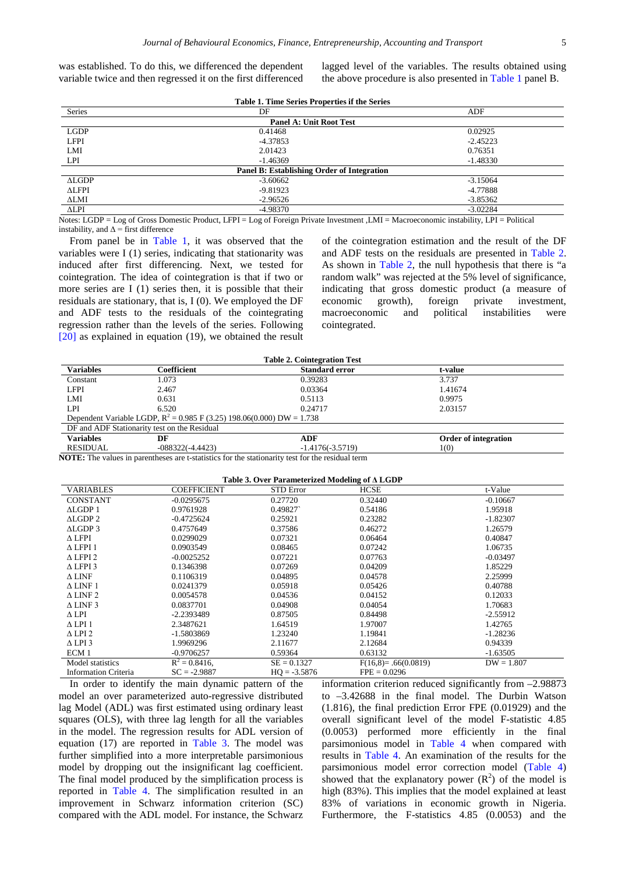was established. To do this, we differenced the dependent variable twice and then regressed it on the first differenced lagged level of the variables. The results obtained using the above procedure is also presented i[n Table 1](#page-4-0) panel B.

<span id="page-4-0"></span>

| Table 1. Time Series Properties if the Series |                                                                           |            |  |  |
|-----------------------------------------------|---------------------------------------------------------------------------|------------|--|--|
| Series                                        | DF                                                                        | ADF        |  |  |
| <b>Panel A: Unit Root Test</b>                |                                                                           |            |  |  |
| <b>LGDP</b>                                   | 0.41468                                                                   | 0.02925    |  |  |
| <b>LFPI</b>                                   | $-4.37853$                                                                | $-2.45223$ |  |  |
| LMI                                           | 2.01423                                                                   | 0.76351    |  |  |
| <b>LPI</b>                                    | $-1.46369$                                                                | $-1.48330$ |  |  |
|                                               | Panel B: Establishing Order of Integration                                |            |  |  |
| ALGDP                                         | $-3.60662$                                                                | $-3.15064$ |  |  |
| <b>ALFPI</b>                                  | $-9.81923$                                                                | -4.77888   |  |  |
| ΔLMI                                          | $-2.96526$                                                                | $-3.85362$ |  |  |
| $\triangle LPI$                               | -4.98370                                                                  | $-3.02284$ |  |  |
| $\sim$ $\sim$<br>$\cdots$ $\cdots$            | $\sim$ $\sim$ $\sim$ $\sim$ $\sim$ $\sim$ $\sim$ $\sim$<br>$\sim$ $ \sim$ |            |  |  |

Notes: LGDP = Log of Gross Domestic Product, LFPI = Log of Foreign Private Investment ,LMI = Macroeconomic instability, LPI = Political instability, and  $\Delta$  = first difference

From panel be in [Table 1,](#page-4-0) it was observed that the variables were I (1) series, indicating that stationarity was induced after first differencing. Next, we tested for cointegration. The idea of cointegration is that if two or more series are I (1) series then, it is possible that their residuals are stationary, that is, I (0). We employed the DF and ADF tests to the residuals of the cointegrating regression rather than the levels of the series. Following [\[20\]](#page-6-16) as explained in equation (19), we obtained the result of the cointegration estimation and the result of the DF and ADF tests on the residuals are presented in [Table 2.](#page-4-1) As shown in [Table 2,](#page-4-1) the null hypothesis that there is "a random walk" was rejected at the 5% level of significance, indicating that gross domestic product (a measure of economic growth), foreign private investment, macroeconomic and political instabilities were cointegrated.

<span id="page-4-1"></span>

| <b>Table 2. Cointegration Test</b>                                       |                    |                       |                             |  |  |  |
|--------------------------------------------------------------------------|--------------------|-----------------------|-----------------------------|--|--|--|
| <b>Variables</b>                                                         | Coefficient        | <b>Standard error</b> | t-value                     |  |  |  |
| Constant                                                                 | 1.073              | 0.39283               | 3.737                       |  |  |  |
| <b>LFPI</b>                                                              | 2.467              | 0.03364               | 1.41674                     |  |  |  |
| LMI                                                                      | 0.631              | 0.5113                | 0.9975                      |  |  |  |
| LPI                                                                      | 6.520              | 0.24717               | 2.03157                     |  |  |  |
| Dependent Variable LGDP, $R^2 = 0.985$ F (3.25) 198.06(0.000) DW = 1.738 |                    |                       |                             |  |  |  |
| DF and ADF Stationarity test on the Residual                             |                    |                       |                             |  |  |  |
| <b>Variables</b>                                                         | DF                 | ADF                   | <b>Order of integration</b> |  |  |  |
| <b>RESIDUAL</b>                                                          | $-088322(-4.4423)$ | $-1.4176(-3.5719)$    | 1(0)                        |  |  |  |

**NOTE:** The values in parentheses are t-statistics for the stationarity test for the residual term

<span id="page-4-2"></span>

| Table 3. Over Parameterized Modeling of $\triangle$ LGDP |                    |                  |                         |              |  |  |
|----------------------------------------------------------|--------------------|------------------|-------------------------|--------------|--|--|
| <b>VARIABLES</b>                                         | <b>COEFFICIENT</b> | <b>STD</b> Error | <b>HCSE</b>             | t-Value      |  |  |
| <b>CONSTANT</b>                                          | $-0.0295675$       | 0.27720          | 0.32440                 | $-0.10667$   |  |  |
| ALGDP1                                                   | 0.9761928          | 0.49827          | 0.54186                 | 1.95918      |  |  |
| ALGDP <sub>2</sub>                                       | $-0.4725624$       | 0.25921          | 0.23282                 | $-1.82307$   |  |  |
| ALGDP <sub>3</sub>                                       | 0.4757649          | 0.37586          | 0.46272                 | 1.26579      |  |  |
| $\Delta$ LFPI                                            | 0.0299029          | 0.07321          | 0.06464                 | 0.40847      |  |  |
| $\Delta$ LFPI 1                                          | 0.0903549          | 0.08465          | 0.07242                 | 1.06735      |  |  |
| $\triangle$ LFPI 2                                       | $-0.0025252$       | 0.07221          | 0.07763                 | $-0.03497$   |  |  |
| $\triangle$ LFPI 3                                       | 0.1346398          | 0.07269          | 0.04209                 | 1.85229      |  |  |
| $\Delta$ LINF                                            | 0.1106319          | 0.04895          | 0.04578                 | 2.25999      |  |  |
| $\Delta$ LINF 1                                          | 0.0241379          | 0.05918          | 0.05426                 | 0.40788      |  |  |
| $\triangle$ LINF 2                                       | 0.0054578          | 0.04536          | 0.04152                 | 0.12033      |  |  |
| $\Delta$ LINF 3                                          | 0.0837701          | 0.04908          | 0.04054                 | 1.70683      |  |  |
| $\Delta$ LPI                                             | -2.2393489         | 0.87505          | 0.84498                 | $-2.55912$   |  |  |
| $\Delta$ LPI 1                                           | 2.3487621          | 1.64519          | 1.97007                 | 1.42765      |  |  |
| $\triangle$ LPI 2                                        | -1.5803869         | 1.23240          | 1.19841                 | $-1.28236$   |  |  |
| $\Delta$ LPI 3                                           | 1.9969296          | 2.11677          | 2.12684                 | 0.94339      |  |  |
| ECM 1                                                    | $-0.9706257$       | 0.59364          | 0.63132                 | $-1.63505$   |  |  |
| Model statistics                                         | $R^2 = 0.8416$ ,   | $SE = 0.1327$    | $F(16,8) = .66(0.0819)$ | $DW = 1.807$ |  |  |
| <b>Information Criteria</b>                              | $SC = -2.9887$     | $HQ = -3.5876$   | $FPE = 0.0296$          |              |  |  |

In order to identify the main dynamic pattern of the model an over parameterized auto-regressive distributed lag Model (ADL) was first estimated using ordinary least squares (OLS), with three lag length for all the variables in the model. The regression results for ADL version of equation (17) are reported in [Table 3.](#page-4-2) The model was further simplified into a more interpretable parsimonious model by dropping out the insignificant lag coefficient. The final model produced by the simplification process is reported in [Table 4.](#page-5-0) The simplification resulted in an improvement in Schwarz information criterion (SC) compared with the ADL model. For instance, the Schwarz information criterion reduced significantly from –2.98873 to –3.42688 in the final model. The Durbin Watson (1.816), the final prediction Error FPE (0.01929) and the overall significant level of the model F-statistic 4.85 (0.0053) performed more efficiently in the final parsimonious model in [Table 4](#page-5-0) when compared with results in [Table 4.](#page-5-0) An examination of the results for the parsimonious model error correction model [\(Table 4\)](#page-5-0) showed that the explanatory power  $(R^2)$  of the model is high (83%). This implies that the model explained at least 83% of variations in economic growth in Nigeria. Furthermore, the F-statistics 4.85 (0.0053) and the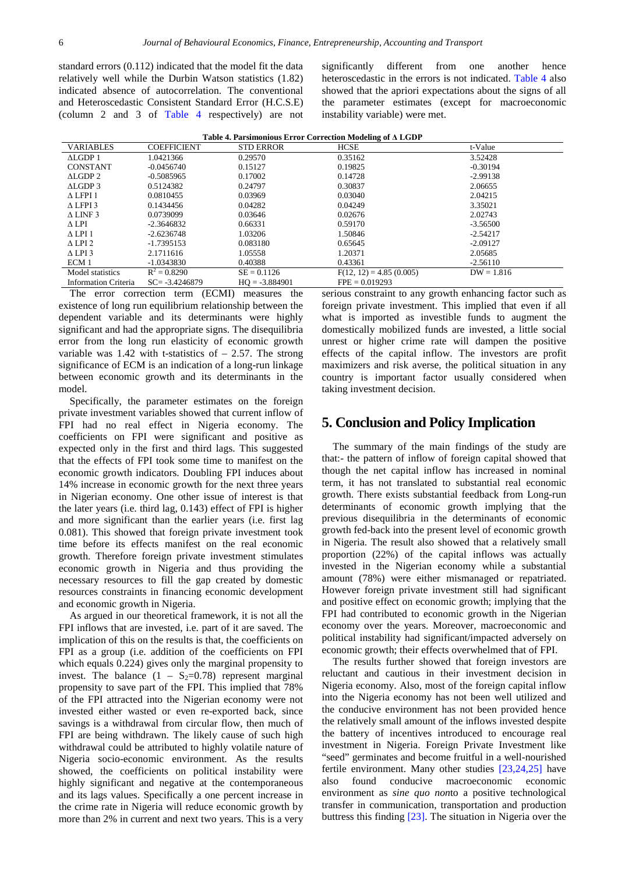standard errors (0.112) indicated that the model fit the data relatively well while the Durbin Watson statistics (1.82) indicated absence of autocorrelation. The conventional and Heteroscedastic Consistent Standard Error (H.C.S.E) (column 2 and 3 of [Table 4](#page-5-0) respectively) are not significantly different from one another hence heteroscedastic in the errors is not indicated. [Table 4](#page-5-0) also showed that the apriori expectations about the signs of all the parameter estimates (except for macroeconomic instability variable) were met.

<span id="page-5-0"></span>

| Table 4. Parsimonious Error Correction Modeling of A LGDP |                    |                  |                           |              |  |  |
|-----------------------------------------------------------|--------------------|------------------|---------------------------|--------------|--|--|
| <b>VARIABLES</b>                                          | <b>COEFFICIENT</b> | <b>STD ERROR</b> | <b>HCSE</b>               | t-Value      |  |  |
| ALGDP1                                                    | 1.0421366          | 0.29570          | 0.35162                   | 3.52428      |  |  |
| <b>CONSTANT</b>                                           | $-0.0456740$       | 0.15127          | 0.19825                   | $-0.30194$   |  |  |
| ALGDP <sub>2</sub>                                        | $-0.5085965$       | 0.17002          | 0.14728                   | $-2.99138$   |  |  |
| ALGDP 3                                                   | 0.5124382          | 0.24797          | 0.30837                   | 2.06655      |  |  |
| $\Delta$ LFPI 1                                           | 0.0810455          | 0.03969          | 0.03040                   | 2.04215      |  |  |
| $\triangle$ LFPI 3                                        | 0.1434456          | 0.04282          | 0.04249                   | 3.35021      |  |  |
| $\triangle$ LINF 3                                        | 0.0739099          | 0.03646          | 0.02676                   | 2.02743      |  |  |
| $\Delta$ LPI                                              | $-2.3646832$       | 0.66331          | 0.59170                   | $-3.56500$   |  |  |
| $\triangle$ LPI 1                                         | $-2.6236748$       | 1.03206          | 1.50846                   | $-2.54217$   |  |  |
| $\triangle$ LPI 2                                         | $-1.7395153$       | 0.083180         | 0.65645                   | $-2.09127$   |  |  |
| $\triangle$ LPI 3                                         | 2.1711616          | 1.05558          | 1.20371                   | 2.05685      |  |  |
| ECM 1                                                     | $-1.0343830$       | 0.40388          | 0.43361                   | $-2.56110$   |  |  |
| Model statistics                                          | $R^2 = 0.8290$     | $SE = 0.1126$    | $F(12, 12) = 4.85(0.005)$ | $DW = 1.816$ |  |  |
| <b>Information Criteria</b>                               | $SC = -3.4246879$  | $HO = -3.884901$ | $FPE = 0.019293$          |              |  |  |

The error correction term (ECMI) measures the existence of long run equilibrium relationship between the dependent variable and its determinants were highly significant and had the appropriate signs. The disequilibria error from the long run elasticity of economic growth variable was  $1.42$  with t-statistics of  $-2.57$ . The strong significance of ECM is an indication of a long-run linkage between economic growth and its determinants in the model.

Specifically, the parameter estimates on the foreign private investment variables showed that current inflow of FPI had no real effect in Nigeria economy. The coefficients on FPI were significant and positive as expected only in the first and third lags. This suggested that the effects of FPI took some time to manifest on the economic growth indicators. Doubling FPI induces about 14% increase in economic growth for the next three years in Nigerian economy. One other issue of interest is that the later years (i.e. third lag, 0.143) effect of FPI is higher and more significant than the earlier years (i.e. first lag 0.081). This showed that foreign private investment took time before its effects manifest on the real economic growth. Therefore foreign private investment stimulates economic growth in Nigeria and thus providing the necessary resources to fill the gap created by domestic resources constraints in financing economic development and economic growth in Nigeria.

As argued in our theoretical framework, it is not all the FPI inflows that are invested, i.e. part of it are saved. The implication of this on the results is that, the coefficients on FPI as a group (i.e. addition of the coefficients on FPI which equals 0.224) gives only the marginal propensity to invest. The balance  $(1 - S_2=0.78)$  represent marginal propensity to save part of the FPI. This implied that 78% of the FPI attracted into the Nigerian economy were not invested either wasted or even re-exported back, since savings is a withdrawal from circular flow, then much of FPI are being withdrawn. The likely cause of such high withdrawal could be attributed to highly volatile nature of Nigeria socio-economic environment. As the results showed, the coefficients on political instability were highly significant and negative at the contemporaneous and its lags values. Specifically a one percent increase in the crime rate in Nigeria will reduce economic growth by more than 2% in current and next two years. This is a very serious constraint to any growth enhancing factor such as foreign private investment. This implied that even if all what is imported as investible funds to augment the domestically mobilized funds are invested, a little social unrest or higher crime rate will dampen the positive effects of the capital inflow. The investors are profit maximizers and risk averse, the political situation in any country is important factor usually considered when taking investment decision.

# **5. Conclusion and Policy Implication**

The summary of the main findings of the study are that:- the pattern of inflow of foreign capital showed that though the net capital inflow has increased in nominal term, it has not translated to substantial real economic growth. There exists substantial feedback from Long-run determinants of economic growth implying that the previous disequilibria in the determinants of economic growth fed-back into the present level of economic growth in Nigeria. The result also showed that a relatively small proportion (22%) of the capital inflows was actually invested in the Nigerian economy while a substantial amount (78%) were either mismanaged or repatriated. However foreign private investment still had significant and positive effect on economic growth; implying that the FPI had contributed to economic growth in the Nigerian economy over the years. Moreover, macroeconomic and political instability had significant/impacted adversely on economic growth; their effects overwhelmed that of FPI.

The results further showed that foreign investors are reluctant and cautious in their investment decision in Nigeria economy. Also, most of the foreign capital inflow into the Nigeria economy has not been well utilized and the conducive environment has not been provided hence the relatively small amount of the inflows invested despite the battery of incentives introduced to encourage real investment in Nigeria. Foreign Private Investment like "seed" germinates and become fruitful in a well-nourished fertile environment. Many other studies [\[23,24,25\]](#page-6-19) have also found conducive macroeconomic economic environment as *sine quo non*to a positive technological transfer in communication, transportation and production buttress this finding [\[23\].](#page-6-19) The situation in Nigeria over the